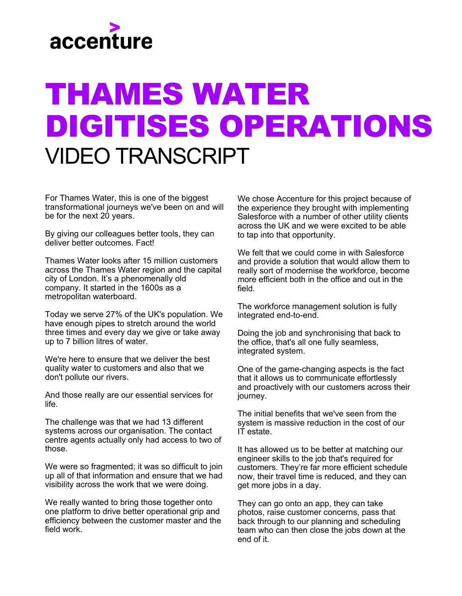

## THAMES WATER DIGITISES OPERATIONS VIDEO TRANSCRIPT

For Thames Water, this is one of the biggest transformational journeys we've been on and will be for the next 20 years.

By giving our colleagues better tools, they can deliver better outcomes. Fact!

Thames Water looks after 15 million customers across the Thames Water region and the capital city of London. It's a phenomenally old company. It started in the 1600s as a metropolitan waterboard.

Today we serve 27% of the UK's population. We have enough pipes to stretch around the world three times and every day we give or take away up to 7 billion litres of water.

We're here to ensure that we deliver the best quality water to customers and also that we don't pollute our rivers.

And those really are our essential services for life.

The challenge was that we had 13 different systems across our organisation. The contact centre agents actually only had access to two of those.

We were so fragmented; it was so difficult to join up all of that information and ensure that we had visibility across the work that we were doing.

We really wanted to bring those together onto one platform to drive better operational grip and efficiency between the customer master and the field work.

We chose Accenture for this project because of the experience they brought with implementing Salesforce with a number of other utility clients across the UK and we were excited to be able to tap into that opportunity.

We felt that we could come in with Salesforce and provide a solution that would allow them to really sort of modernise the workforce, become more efficient both in the office and out in the field.

The workforce management solution is fully integrated end-to-end.

Doing the job and synchronising that back to the office, that's all one fully seamless, integrated system.

One of the game-changing aspects is the fact that it allows us to communicate effortlessly and proactively with our customers across their journey.

The initial benefits that we've seen from the system is massive reduction in the cost of our IT estate.

It has allowed us to be better at matching our engineer skills to the job that's required for customers. They're far more efficient schedule now, their travel time is reduced, and they can get more jobs in a day.

They can go onto an app, they can take photos, raise customer concerns, pass that back through to our planning and scheduling team who can then close the jobs down at the end of it.